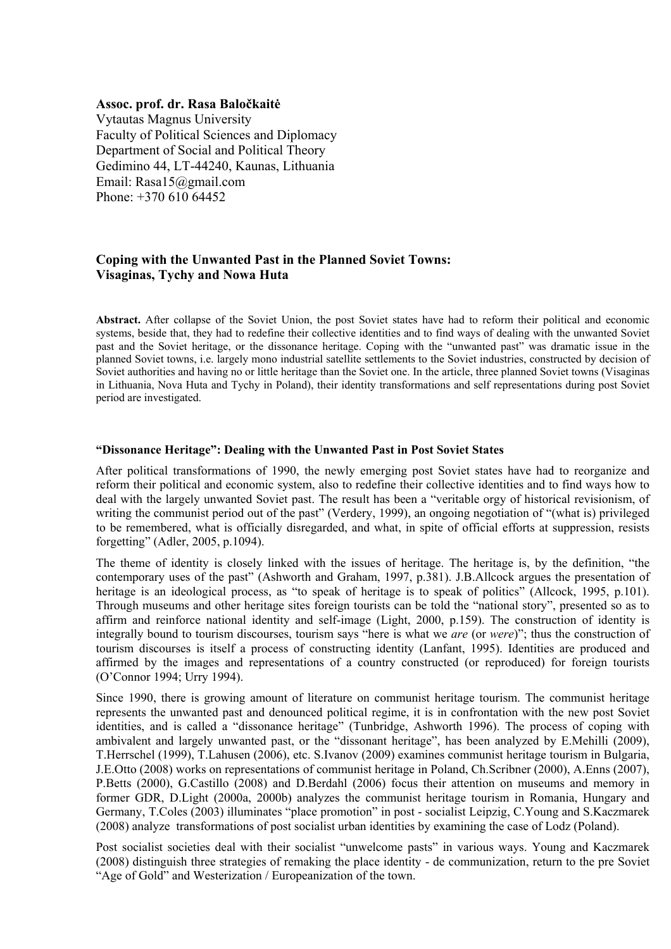#### **Assoc. prof. dr. Rasa Baločkaitė**

Vytautas Magnus University Faculty of Political Sciences and Diplomacy Department of Social and Political Theory Gedimino 44, LT-44240, Kaunas, Lithuania Email: Rasa15@gmail.com Phone: +370 610 64452

# **Coping with the Unwanted Past in the Planned Soviet Towns: Visaginas, Tychy and Nowa Huta**

**Abstract.** After collapse of the Soviet Union, the post Soviet states have had to reform their political and economic systems, beside that, they had to redefine their collective identities and to find ways of dealing with the unwanted Soviet past and the Soviet heritage, or the dissonance heritage. Coping with the "unwanted past" was dramatic issue in the planned Soviet towns, i.e. largely mono industrial satellite settlements to the Soviet industries, constructed by decision of Soviet authorities and having no or little heritage than the Soviet one. In the article, three planned Soviet towns (Visaginas in Lithuania, Nova Huta and Tychy in Poland), their identity transformations and self representations during post Soviet period are investigated.

#### **"Dissonance Heritage": Dealing with the Unwanted Past in Post Soviet States**

After political transformations of 1990, the newly emerging post Soviet states have had to reorganize and reform their political and economic system, also to redefine their collective identities and to find ways how to deal with the largely unwanted Soviet past. The result has been a "veritable orgy of historical revisionism, of writing the communist period out of the past" (Verdery, 1999), an ongoing negotiation of "(what is) privileged to be remembered, what is officially disregarded, and what, in spite of official efforts at suppression, resists forgetting" (Adler, 2005, p.1094).

The theme of identity is closely linked with the issues of heritage. The heritage is, by the definition, "the contemporary uses of the past" (Ashworth and Graham, 1997, p.381). J.B.Allcock argues the presentation of heritage is an ideological process, as "to speak of heritage is to speak of politics" (Allcock, 1995, p.101). Through museums and other heritage sites foreign tourists can be told the "national story", presented so as to affirm and reinforce national identity and self-image (Light, 2000, p.159). The construction of identity is integrally bound to tourism discourses, tourism says "here is what we *are* (or *were*)"; thus the construction of tourism discourses is itself a process of constructing identity (Lanfant, 1995). Identities are produced and affirmed by the images and representations of a country constructed (or reproduced) for foreign tourists (O'Connor 1994; Urry 1994).

Since 1990, there is growing amount of literature on communist heritage tourism. The communist heritage represents the unwanted past and denounced political regime, it is in confrontation with the new post Soviet identities, and is called a "dissonance heritage" (Tunbridge, Ashworth 1996). The process of coping with ambivalent and largely unwanted past, or the "dissonant heritage", has been analyzed by E.Mehilli (2009), T.Herrschel (1999), T.Lahusen (2006), etc. S.Ivanov (2009) examines communist heritage tourism in Bulgaria, J.E.Otto (2008) works on representations of communist heritage in Poland, Ch.Scribner (2000), A.Enns (2007), P.Betts (2000), G.Castillo (2008) and D.Berdahl (2006) focus their attention on museums and memory in former GDR, D.Light (2000a, 2000b) analyzes the communist heritage tourism in Romania, Hungary and Germany, T.Coles (2003) illuminates "place promotion" in post - socialist Leipzig, C.Young and S.Kaczmarek (2008) analyze transformations of post socialist urban identities by examining the case of Lodz (Poland).

Post socialist societies deal with their socialist "unwelcome pasts" in various ways. Young and Kaczmarek (2008) distinguish three strategies of remaking the place identity - de communization, return to the pre Soviet "Age of Gold" and Westerization / Europeanization of the town.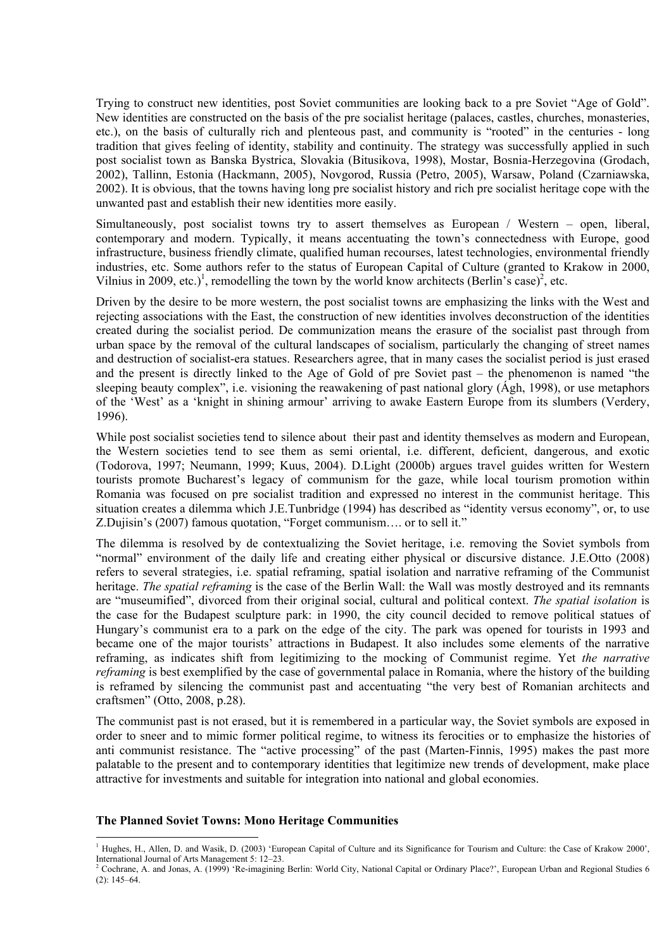Trying to construct new identities, post Soviet communities are looking back to a pre Soviet "Age of Gold". New identities are constructed on the basis of the pre socialist heritage (palaces, castles, churches, monasteries, etc.), on the basis of culturally rich and plenteous past, and community is "rooted" in the centuries - long tradition that gives feeling of identity, stability and continuity. The strategy was successfully applied in such post socialist town as Banska Bystrica, Slovakia (Bitusikova, 1998), Mostar, Bosnia-Herzegovina (Grodach, 2002), Tallinn, Estonia (Hackmann, 2005), Novgorod, Russia (Petro, 2005), Warsaw, Poland (Czarniawska, 2002). It is obvious, that the towns having long pre socialist history and rich pre socialist heritage cope with the unwanted past and establish their new identities more easily.

Simultaneously, post socialist towns try to assert themselves as European / Western – open, liberal, contemporary and modern. Typically, it means accentuating the town's connectedness with Europe, good infrastructure, business friendly climate, qualified human recourses, latest technologies, environmental friendly industries, etc. Some authors refer to the status of European Capital of Culture (granted to Krakow in 2000, Vilnius in 2009, etc.)<sup>1</sup>, remodelling the town by the world know architects (Berlin's case)<sup>2</sup>, etc.

Driven by the desire to be more western, the post socialist towns are emphasizing the links with the West and rejecting associations with the East, the construction of new identities involves deconstruction of the identities created during the socialist period. De communization means the erasure of the socialist past through from urban space by the removal of the cultural landscapes of socialism, particularly the changing of street names and destruction of socialist-era statues. Researchers agree, that in many cases the socialist period is just erased and the present is directly linked to the Age of Gold of pre Soviet past – the phenomenon is named "the sleeping beauty complex", i.e. visioning the reawakening of past national glory (Ágh, 1998), or use metaphors of the 'West' as a 'knight in shining armour' arriving to awake Eastern Europe from its slumbers (Verdery, 1996).

While post socialist societies tend to silence about their past and identity themselves as modern and European, the Western societies tend to see them as semi oriental, i.e. different, deficient, dangerous, and exotic (Todorova, 1997; Neumann, 1999; Kuus, 2004). D.Light (2000b) argues travel guides written for Western tourists promote Bucharest's legacy of communism for the gaze, while local tourism promotion within Romania was focused on pre socialist tradition and expressed no interest in the communist heritage. This situation creates a dilemma which J.E.Tunbridge (1994) has described as "identity versus economy", or, to use Z.Dujisin's (2007) famous quotation, "Forget communism…. or to sell it."

The dilemma is resolved by de contextualizing the Soviet heritage, i.e. removing the Soviet symbols from "normal" environment of the daily life and creating either physical or discursive distance. J.E.Otto (2008) refers to several strategies, i.e. spatial reframing, spatial isolation and narrative reframing of the Communist heritage. *The spatial reframing* is the case of the Berlin Wall: the Wall was mostly destroyed and its remnants are "museumified", divorced from their original social, cultural and political context. *The spatial isolation* is the case for the Budapest sculpture park: in 1990, the city council decided to remove political statues of Hungary's communist era to a park on the edge of the city. The park was opened for tourists in 1993 and became one of the major tourists' attractions in Budapest. It also includes some elements of the narrative reframing, as indicates shift from legitimizing to the mocking of Communist regime. Yet *the narrative reframing* is best exemplified by the case of governmental palace in Romania, where the history of the building is reframed by silencing the communist past and accentuating "the very best of Romanian architects and craftsmen" (Otto, 2008, p.28).

The communist past is not erased, but it is remembered in a particular way, the Soviet symbols are exposed in order to sneer and to mimic former political regime, to witness its ferocities or to emphasize the histories of anti communist resistance. The "active processing" of the past (Marten-Finnis, 1995) makes the past more palatable to the present and to contemporary identities that legitimize new trends of development, make place attractive for investments and suitable for integration into national and global economies.

#### **The Planned Soviet Towns: Mono Heritage Communities**

<sup>1</sup> Hughes, H., Allen, D. and Wasik, D. (2003) 'European Capital of Culture and its Significance for Tourism and Culture: the Case of Krakow 2000', International Journal of Arts Management 5: 12–23. 2

<sup>&</sup>lt;sup>2</sup> Cochrane, A. and Jonas, A. (1999) 'Re-imagining Berlin: World City, National Capital or Ordinary Place?', European Urban and Regional Studies 6 (2): 145–64.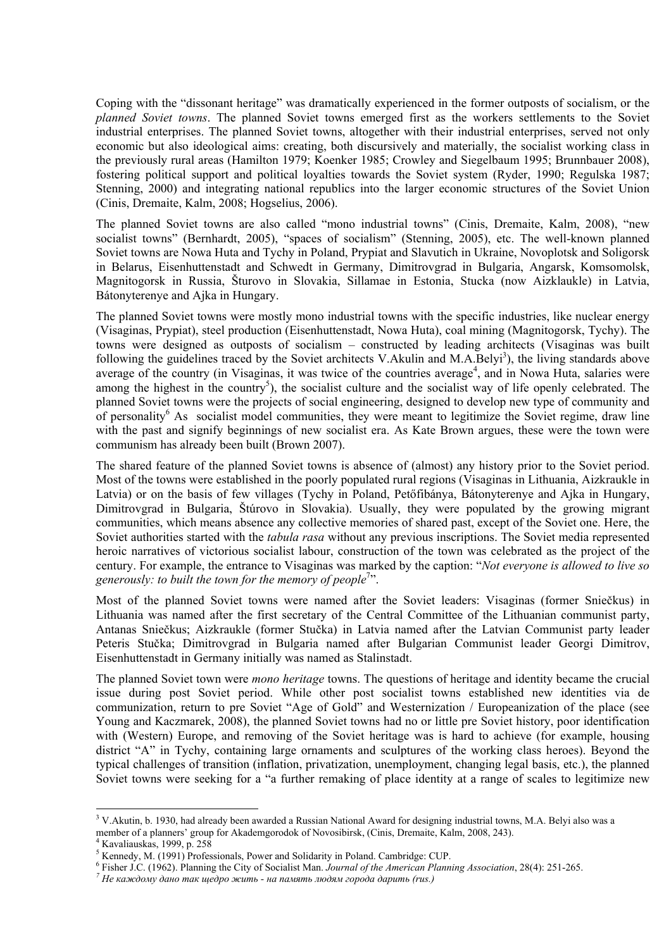Coping with the "dissonant heritage" was dramatically experienced in the former outposts of socialism, or the *planned Soviet towns*. The planned Soviet towns emerged first as the workers settlements to the Soviet industrial enterprises. The planned Soviet towns, altogether with their industrial enterprises, served not only economic but also ideological aims: creating, both discursively and materially, the socialist working class in the previously rural areas (Hamilton 1979; Koenker 1985; Crowley and Siegelbaum 1995; Brunnbauer 2008), fostering political support and political loyalties towards the Soviet system (Ryder, 1990; Regulska 1987; Stenning, 2000) and integrating national republics into the larger economic structures of the Soviet Union (Cinis, Dremaite, Kalm, 2008; Hogselius, 2006).

The planned Soviet towns are also called "mono industrial towns" (Cinis, Dremaite, Kalm, 2008), "new socialist towns" (Bernhardt, 2005), "spaces of socialism" (Stenning, 2005), etc. The well-known planned Soviet towns are Nowa Huta and Tychy in Poland, Prypiat and Slavutich in Ukraine, Novoplotsk and Soligorsk in Belarus, Eisenhuttenstadt and Schwedt in Germany, Dimitrovgrad in Bulgaria, Angarsk, Komsomolsk, Magnitogorsk in Russia, Šturovo in Slovakia, Sillamae in Estonia, Stucka (now Aizklaukle) in Latvia, Bátonyterenye and Ajka in Hungary.

The planned Soviet towns were mostly mono industrial towns with the specific industries, like nuclear energy (Visaginas, Prypiat), steel production (Eisenhuttenstadt, Nowa Huta), coal mining (Magnitogorsk, Tychy). The towns were designed as outposts of socialism – constructed by leading architects (Visaginas was built following the guidelines traced by the Soviet architects V.Akulin and M.A.Belyi<sup>3</sup>), the living standards above average of the country (in Visaginas, it was twice of the countries average<sup>4</sup>, and in Nowa Huta, salaries were among the highest in the country<sup>5</sup>), the socialist culture and the socialist way of life openly celebrated. The planned Soviet towns were the projects of social engineering, designed to develop new type of community and of personality<sup>6</sup> As socialist model communities, they were meant to legitimize the Soviet regime, draw line with the past and signify beginnings of new socialist era. As Kate Brown argues, these were the town were communism has already been built (Brown 2007).

The shared feature of the planned Soviet towns is absence of (almost) any history prior to the Soviet period. Most of the towns were established in the poorly populated rural regions (Visaginas in Lithuania, Aizkraukle in Latvia) or on the basis of few villages (Tychy in Poland, Petőfibánya, Bátonyterenye and Ajka in Hungary, Dimitrovgrad in Bulgaria, Štúrovo in Slovakia). Usually, they were populated by the growing migrant communities, which means absence any collective memories of shared past, except of the Soviet one. Here, the Soviet authorities started with the *tabula rasa* without any previous inscriptions. The Soviet media represented heroic narratives of victorious socialist labour, construction of the town was celebrated as the project of the century. For example, the entrance to Visaginas was marked by the caption: "*Not everyone is allowed to live so*  generously: to built the town for the memory of people<sup>7</sup>".

Most of the planned Soviet towns were named after the Soviet leaders: Visaginas (former Sniečkus) in Lithuania was named after the first secretary of the Central Committee of the Lithuanian communist party, Antanas Sniečkus; Aizkraukle (former Stučka) in Latvia named after the Latvian Communist party leader Peteris Stučka; Dimitrovgrad in Bulgaria named after Bulgarian Communist leader Georgi Dimitrov, Eisenhuttenstadt in Germany initially was named as Stalinstadt.

The planned Soviet town were *mono heritage* towns. The questions of heritage and identity became the crucial issue during post Soviet period. While other post socialist towns established new identities via de communization, return to pre Soviet "Age of Gold" and Westernization / Europeanization of the place (see Young and Kaczmarek, 2008), the planned Soviet towns had no or little pre Soviet history, poor identification with (Western) Europe, and removing of the Soviet heritage was is hard to achieve (for example, housing district "A" in Tychy, containing large ornaments and sculptures of the working class heroes). Beyond the typical challenges of transition (inflation, privatization, unemployment, changing legal basis, etc.), the planned Soviet towns were seeking for a "a further remaking of place identity at a range of scales to legitimize new

<sup>&</sup>lt;sup>3</sup> V.Akutin, b. 1930, had already been awarded a Russian National Award for designing industrial towns, M.A. Belyi also was a member of a planners' group for Akademgorodok of Novosibirsk, (Cinis, Dremaite, Kalm, 2008, 243).

 $4$  Kavaliauskas, 1999, p. 258

<sup>&</sup>lt;sup>5</sup> Kennedy, M. (1991) Professionals, Power and Solidarity in Poland. Cambridge: CUP.

<sup>&</sup>lt;sup>6</sup> Fisher J.C. (1962). Planning the City of Socialist Man. Journal of the American Planning Association, 28(4): 251-265.<br><sup>7</sup> Не каждому дано так шедро жить - на память людям города дарить (rus.)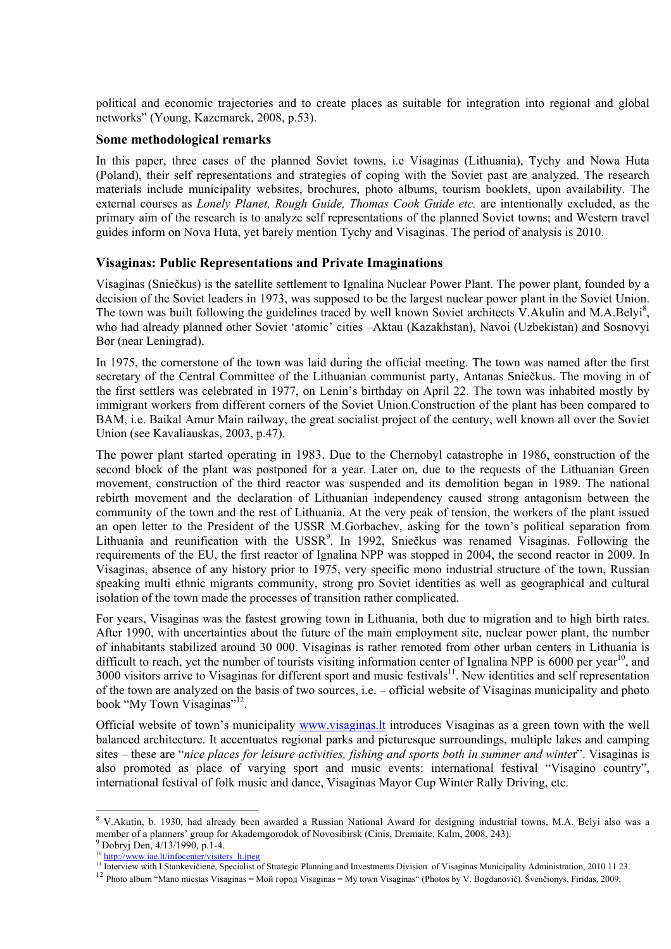political and economic trajectories and to create places as suitable for integration into regional and global networks" (Young, Kazcmarek, 2008, p.53).

### **Some methodological remarks**

In this paper, three cases of the planned Soviet towns, i.e Visaginas (Lithuania), Tychy and Nowa Huta (Poland), their self representations and strategies of coping with the Soviet past are analyzed. The research materials include municipality websites, brochures, photo albums, tourism booklets, upon availability. The external courses as *Lonely Planet, Rough Guide, Thomas Cook Guide etc.* are intentionally excluded, as the primary aim of the research is to analyze self representations of the planned Soviet towns; and Western travel guides inform on Nova Huta, yet barely mention Tychy and Visaginas. The period of analysis is 2010.

### **Visaginas: Public Representations and Private Imaginations**

Visaginas (Sniečkus) is the satellite settlement to Ignalina Nuclear Power Plant. The power plant, founded by a decision of the Soviet leaders in 1973, was supposed to be the largest nuclear power plant in the Soviet Union. The town was built following the guidelines traced by well known Soviet architects  $\hat{V}$ . Akulin and M.A.Belyi<sup>8</sup>, who had already planned other Soviet 'atomic' cities –Aktau (Kazakhstan), Navoi (Uzbekistan) and Sosnovyi Bor (near Leningrad).

In 1975, the cornerstone of the town was laid during the official meeting. The town was named after the first secretary of the Central Committee of the Lithuanian communist party, Antanas Sniečkus. The moving in of the first settlers was celebrated in 1977, on Lenin's birthday on April 22. The town was inhabited mostly by immigrant workers from different corners of the Soviet Union.Construction of the plant has been compared to BAM, i.e. Baikal Amur Main railway, the great socialist project of the century, well known all over the Soviet Union (see Kavaliauskas, 2003, p.47).

The power plant started operating in 1983. Due to the Chernobyl catastrophe in 1986, construction of the second block of the plant was postponed for a year. Later on, due to the requests of the Lithuanian Green movement, construction of the third reactor was suspended and its demolition began in 1989. The national rebirth movement and the declaration of Lithuanian independency caused strong antagonism between the community of the town and the rest of Lithuania. At the very peak of tension, the workers of the plant issued an open letter to the President of the USSR M.Gorbachev, asking for the town's political separation from Lithuania and reunification with the USSR<sup>9</sup>. In 1992, Sniečkus was renamed Visaginas. Following the requirements of the EU, the first reactor of Ignalina NPP was stopped in 2004, the second reactor in 2009. In Visaginas, absence of any history prior to 1975, very specific mono industrial structure of the town, Russian speaking multi ethnic migrants community, strong pro Soviet identities as well as geographical and cultural isolation of the town made the processes of transition rather complicated.

For years, Visaginas was the fastest growing town in Lithuania, both due to migration and to high birth rates. After 1990, with uncertainties about the future of the main employment site, nuclear power plant, the number of inhabitants stabilized around 30 000. Visaginas is rather remoted from other urban centers in Lithuania is difficult to reach, yet the number of tourists visiting information center of Ignalina NPP is  $6000$  per year<sup>10</sup>, and 3000 visitors arrive to Visaginas for different sport and music festivals<sup>11</sup>. New identities and self representation of the town are analyzed on the basis of two sources, i.e. – official website of Visaginas municipality and photo book "My Town Visaginas"<sup>12</sup>.

Official website of town's municipality www.visaginas.lt introduces Visaginas as a green town with the well balanced architecture. It accentuates regional parks and picturesque surroundings, multiple lakes and camping sites – these are "*nice places for leisure activities, fishing and sports both in summer and winter*". Visaginas is also promoted as place of varying sport and music events: international festival "Visagino country", international festival of folk music and dance, Visaginas Mayor Cup Winter Rally Driving, etc.

<sup>&</sup>lt;sup>8</sup> V.Akutin, b. 1930, had already been awarded a Russian National Award for designing industrial towns, M.A. Belyi also was a member of a planners' group for Akademgorodok of Novosibirsk (Cinis, Dremaite, Kalm, 2008, 243).  $^{9}$  Dobryj Den, 4/13/1990, p.1-4.

<sup>&</sup>lt;sup>10</sup> http://www.iae.lt/infocenter/visiters\_lt.jpeg<br><sup>10</sup> http://www.iae.lt/infocenter/visiters\_lt.jpeg<br><sup>11</sup> Interview with I.Stankevičienė, Specialist of Strategic Planning and Investments Division of Visaginas Municipalit

<sup>&</sup>lt;sup>12</sup> Photo album "Mano miestas Visaginas = Moŭ ropog Visaginas = My town Visaginas" (Photos by V. Bogdanovič). Švenčionys, Firidas, 2009.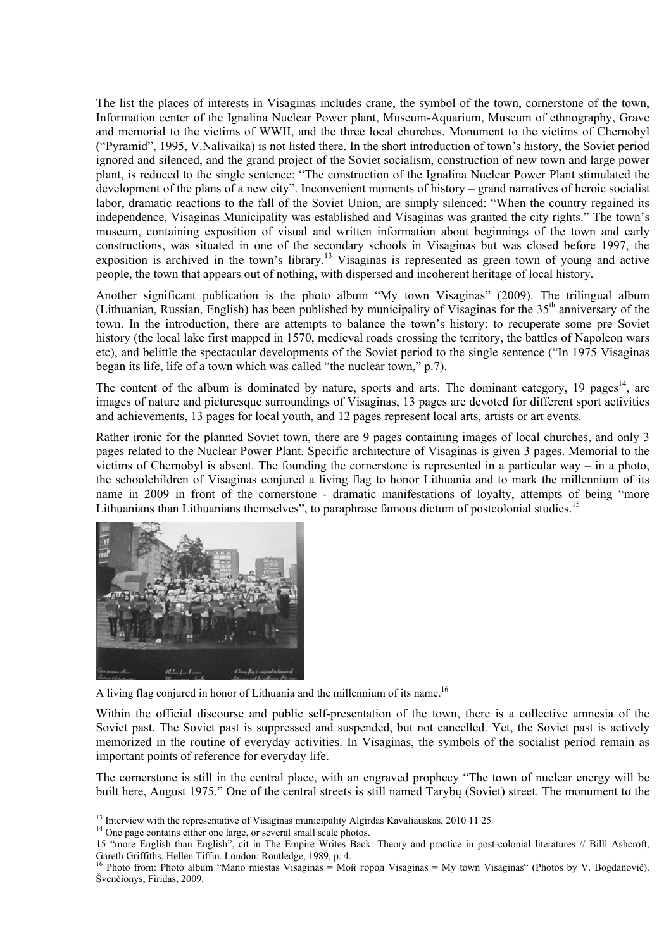The list the places of interests in Visaginas includes crane, the symbol of the town, cornerstone of the town, Information center of the Ignalina Nuclear Power plant, Museum-Aquarium, Museum of ethnography, Grave and memorial to the victims of WWII, and the three local churches. Monument to the victims of Chernobyl ("Pyramid", 1995, V.Nalivaika) is not listed there. In the short introduction of town's history, the Soviet period ignored and silenced, and the grand project of the Soviet socialism, construction of new town and large power plant, is reduced to the single sentence: "The construction of the Ignalina Nuclear Power Plant stimulated the development of the plans of a new city". Inconvenient moments of history – grand narratives of heroic socialist labor, dramatic reactions to the fall of the Soviet Union, are simply silenced: "When the country regained its independence, Visaginas Municipality was established and Visaginas was granted the city rights." The town's museum, containing exposition of visual and written information about beginnings of the town and early constructions, was situated in one of the secondary schools in Visaginas but was closed before 1997, the exposition is archived in the town's library.13 Visaginas is represented as green town of young and active people, the town that appears out of nothing, with dispersed and incoherent heritage of local history.

Another significant publication is the photo album "My town Visaginas" (2009). The trilingual album (Lithuanian, Russian, English) has been published by municipality of Visaginas for the 35<sup>th</sup> anniversary of the town. In the introduction, there are attempts to balance the town's history: to recuperate some pre Soviet history (the local lake first mapped in 1570, medieval roads crossing the territory, the battles of Napoleon wars etc), and belittle the spectacular developments of the Soviet period to the single sentence ("In 1975 Visaginas began its life, life of a town which was called "the nuclear town," p.7).

The content of the album is dominated by nature, sports and arts. The dominant category, 19 pages<sup>14</sup>, are images of nature and picturesque surroundings of Visaginas, 13 pages are devoted for different sport activities and achievements, 13 pages for local youth, and 12 pages represent local arts, artists or art events.

Rather ironic for the planned Soviet town, there are 9 pages containing images of local churches, and only 3 pages related to the Nuclear Power Plant. Specific architecture of Visaginas is given 3 pages. Memorial to the victims of Chernobyl is absent. The founding the cornerstone is represented in a particular way – in a photo, the schoolchildren of Visaginas conjured a living flag to honor Lithuania and to mark the millennium of its name in 2009 in front of the cornerstone - dramatic manifestations of loyalty, attempts of being "more Lithuanians than Lithuanians themselves", to paraphrase famous dictum of postcolonial studies.<sup>15</sup>



A living flag conjured in honor of Lithuania and the millennium of its name.<sup>16</sup>

Within the official discourse and public self-presentation of the town, there is a collective amnesia of the Soviet past. The Soviet past is suppressed and suspended, but not cancelled. Yet, the Soviet past is actively memorized in the routine of everyday activities. In Visaginas, the symbols of the socialist period remain as important points of reference for everyday life.

The cornerstone is still in the central place, with an engraved prophecy "The town of nuclear energy will be built here, August 1975." One of the central streets is still named Tarybų (Soviet) street. The monument to the

<sup>&</sup>lt;sup>13</sup> Interview with the representative of Visaginas municipality Algirdas Kavaliauskas, 2010 11 25  $14$  One page contains either one large, or several small scale photos.

<sup>15 &</sup>quot;more English than English", cit in The Empire Writes Back: Theory and practice in post-colonial literatures // Billl Ashcroft, Gareth Griffiths, Hellen Tiffin. London: Routledge, 1989, p. 4. 16 Photo from: Photo album "Mano miestas Visaginas = Мой город Visaginas = My town Visaginas" (Photos by V. Bogdanovič).

Švenčionys, Firidas, 2009.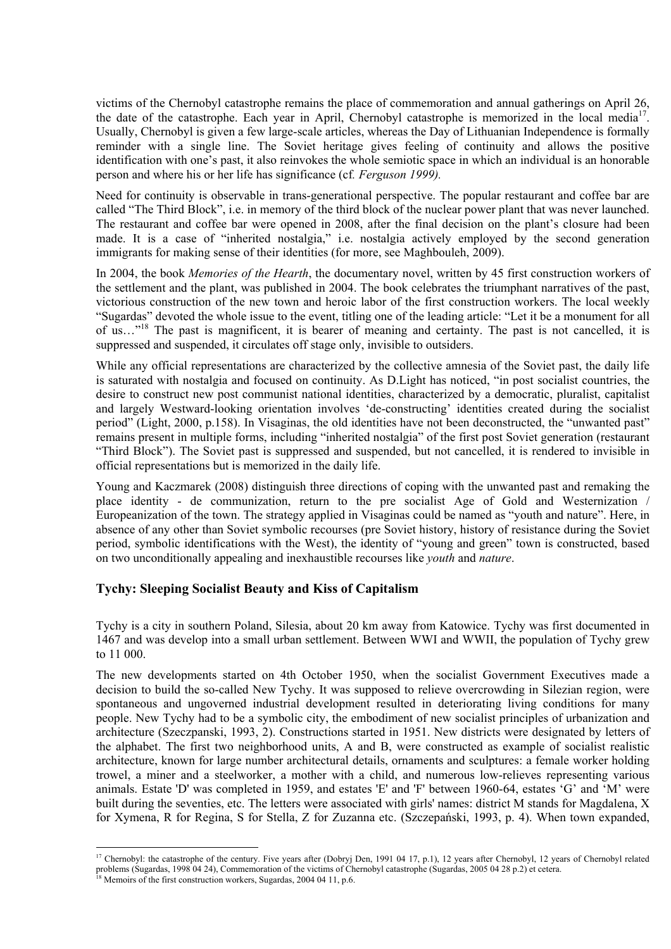victims of the Chernobyl catastrophe remains the place of commemoration and annual gatherings on April 26, the date of the catastrophe. Each year in April, Chernobyl catastrophe is memorized in the local media<sup>17</sup>. Usually, Chernobyl is given a few large-scale articles, whereas the Day of Lithuanian Independence is formally reminder with a single line. The Soviet heritage gives feeling of continuity and allows the positive identification with one's past, it also reinvokes the whole semiotic space in which an individual is an honorable person and where his or her life has significance (cf*. Ferguson 1999).*

Need for continuity is observable in trans-generational perspective. The popular restaurant and coffee bar are called "The Third Block", i.e. in memory of the third block of the nuclear power plant that was never launched. The restaurant and coffee bar were opened in 2008, after the final decision on the plant's closure had been made. It is a case of "inherited nostalgia," i.e. nostalgia actively employed by the second generation immigrants for making sense of their identities (for more, see Maghbouleh, 2009).

In 2004, the book *Memories of the Hearth*, the documentary novel, written by 45 first construction workers of the settlement and the plant, was published in 2004. The book celebrates the triumphant narratives of the past, victorious construction of the new town and heroic labor of the first construction workers. The local weekly "Sugardas" devoted the whole issue to the event, titling one of the leading article: "Let it be a monument for all of us…"18 The past is magnificent, it is bearer of meaning and certainty. The past is not cancelled, it is suppressed and suspended, it circulates off stage only, invisible to outsiders.

While any official representations are characterized by the collective amnesia of the Soviet past, the daily life is saturated with nostalgia and focused on continuity. As D.Light has noticed, "in post socialist countries, the desire to construct new post communist national identities, characterized by a democratic, pluralist, capitalist and largely Westward-looking orientation involves 'de-constructing' identities created during the socialist period" (Light, 2000, p.158). In Visaginas, the old identities have not been deconstructed, the "unwanted past" remains present in multiple forms, including "inherited nostalgia" of the first post Soviet generation (restaurant "Third Block"). The Soviet past is suppressed and suspended, but not cancelled, it is rendered to invisible in official representations but is memorized in the daily life.

Young and Kaczmarek (2008) distinguish three directions of coping with the unwanted past and remaking the place identity - de communization, return to the pre socialist Age of Gold and Westernization / Europeanization of the town. The strategy applied in Visaginas could be named as "youth and nature". Here, in absence of any other than Soviet symbolic recourses (pre Soviet history, history of resistance during the Soviet period, symbolic identifications with the West), the identity of "young and green" town is constructed, based on two unconditionally appealing and inexhaustible recourses like *youth* and *nature*.

## **Tychy: Sleeping Socialist Beauty and Kiss of Capitalism**

Tychy is a city in southern Poland, Silesia, about 20 km away from Katowice. Tychy was first documented in 1467 and was develop into a small urban settlement. Between WWI and WWII, the population of Tychy grew to 11 000.

The new developments started on 4th October 1950, when the socialist Government Executives made a decision to build the so-called New Tychy. It was supposed to relieve overcrowding in Silezian region, were spontaneous and ungoverned industrial development resulted in deteriorating living conditions for many people. New Tychy had to be a symbolic city, the embodiment of new socialist principles of urbanization and architecture (Szeczpanski, 1993, 2). Constructions started in 1951. New districts were designated by letters of the alphabet. The first two neighborhood units, A and B, were constructed as example of socialist realistic architecture, known for large number architectural details, ornaments and sculptures: a female worker holding trowel, a miner and a steelworker, a mother with a child, and numerous low-relieves representing various animals. Estate 'D' was completed in 1959, and estates 'E' and 'F' between 1960-64, estates 'G' and 'M' were built during the seventies, etc. The letters were associated with girls' names: district M stands for Magdalena, X for Xymena, R for Regina, S for Stella, Z for Zuzanna etc. (Szczepański, 1993, p. 4). When town expanded,

<sup>&</sup>lt;sup>17</sup> Chernobyl: the catastrophe of the century. Five years after (Dobryj Den, 1991 04 17, p.1), 12 years after Chernobyl, 12 years of Chernobyl related problems (Sugardas, 1998 04 24), Commemoration of the victims of Chernobyl catastrophe (Sugardas, 2005 04 28 p.2) et cetera. 18 Memoirs of the first construction workers, Sugardas, 2004 04 11, p.6.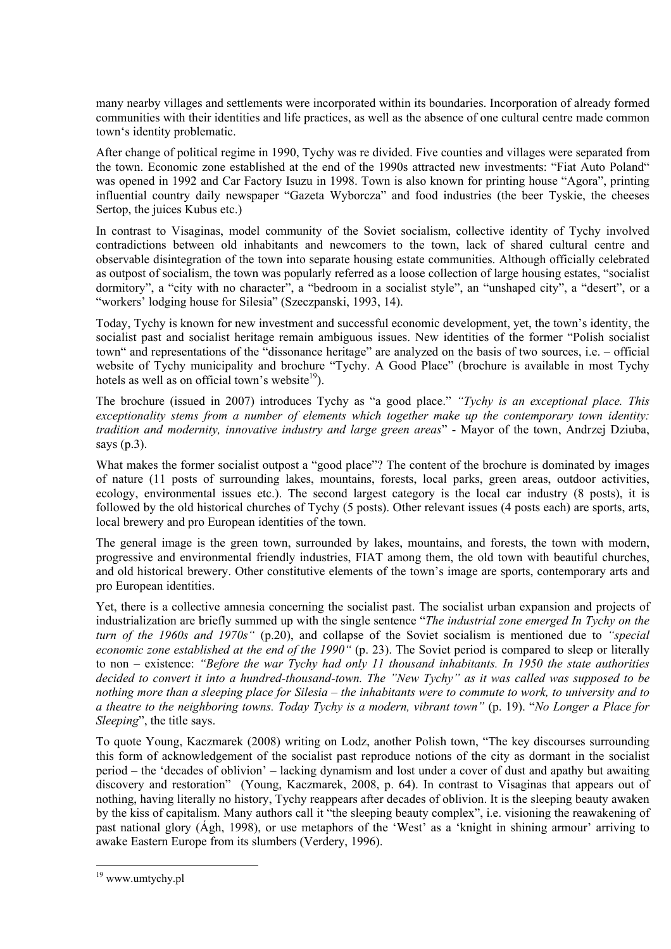many nearby villages and settlements were incorporated within its boundaries. Incorporation of already formed communities with their identities and life practices, as well as the absence of one cultural centre made common town's identity problematic.

After change of political regime in 1990, Tychy was re divided. Five counties and villages were separated from the town. Economic zone established at the end of the 1990s attracted new investments: "Fiat Auto Poland" was opened in 1992 and Car Factory Isuzu in 1998. Town is also known for printing house "Agora", printing influential country daily newspaper "Gazeta Wyborcza" and food industries (the beer Tyskie, the cheeses Sertop, the juices Kubus etc.)

In contrast to Visaginas, model community of the Soviet socialism, collective identity of Tychy involved contradictions between old inhabitants and newcomers to the town, lack of shared cultural centre and observable disintegration of the town into separate housing estate communities. Although officially celebrated as outpost of socialism, the town was popularly referred as a loose collection of large housing estates, "socialist dormitory", a "city with no character", a "bedroom in a socialist style", an "unshaped city", a "desert", or a "workers' lodging house for Silesia" (Szeczpanski, 1993, 14).

Today, Tychy is known for new investment and successful economic development, yet, the town's identity, the socialist past and socialist heritage remain ambiguous issues. New identities of the former "Polish socialist town" and representations of the "dissonance heritage" are analyzed on the basis of two sources, i.e. – official website of Tychy municipality and brochure "Tychy. A Good Place" (brochure is available in most Tychy hotels as well as on official town's website<sup>19</sup>).

The brochure (issued in 2007) introduces Tychy as "a good place." *"Tychy is an exceptional place. This exceptionality stems from a number of elements which together make up the contemporary town identity: tradition and modernity, innovative industry and large green areas*" - Mayor of the town, Andrzej Dziuba, says (p.3).

What makes the former socialist outpost a "good place"? The content of the brochure is dominated by images of nature (11 posts of surrounding lakes, mountains, forests, local parks, green areas, outdoor activities, ecology, environmental issues etc.). The second largest category is the local car industry (8 posts), it is followed by the old historical churches of Tychy (5 posts). Other relevant issues (4 posts each) are sports, arts, local brewery and pro European identities of the town.

The general image is the green town, surrounded by lakes, mountains, and forests, the town with modern, progressive and environmental friendly industries, FIAT among them, the old town with beautiful churches, and old historical brewery. Other constitutive elements of the town's image are sports, contemporary arts and pro European identities.

Yet, there is a collective amnesia concerning the socialist past. The socialist urban expansion and projects of industrialization are briefly summed up with the single sentence "*The industrial zone emerged In Tychy on the turn of the 1960s and 1970s"* (p.20), and collapse of the Soviet socialism is mentioned due to *"special economic zone established at the end of the 1990*" (p. 23). The Soviet period is compared to sleep or literally to non – existence: *"Before the war Tychy had only 11 thousand inhabitants. In 1950 the state authorities decided to convert it into a hundred-thousand-town. The "New Tychy" as it was called was supposed to be nothing more than a sleeping place for Silesia – the inhabitants were to commute to work, to university and to a theatre to the neighboring towns. Today Tychy is a modern, vibrant town"* (p. 19). "*No Longer a Place for Sleeping*", the title says.

To quote Young, Kaczmarek (2008) writing on Lodz, another Polish town, "The key discourses surrounding this form of acknowledgement of the socialist past reproduce notions of the city as dormant in the socialist period – the 'decades of oblivion' – lacking dynamism and lost under a cover of dust and apathy but awaiting discovery and restoration" (Young, Kaczmarek, 2008, p. 64). In contrast to Visaginas that appears out of nothing, having literally no history, Tychy reappears after decades of oblivion. It is the sleeping beauty awaken by the kiss of capitalism. Many authors call it "the sleeping beauty complex", i.e. visioning the reawakening of past national glory (Ágh, 1998), or use metaphors of the 'West' as a 'knight in shining armour' arriving to awake Eastern Europe from its slumbers (Verdery, 1996).

<sup>19</sup> www.umtychy.pl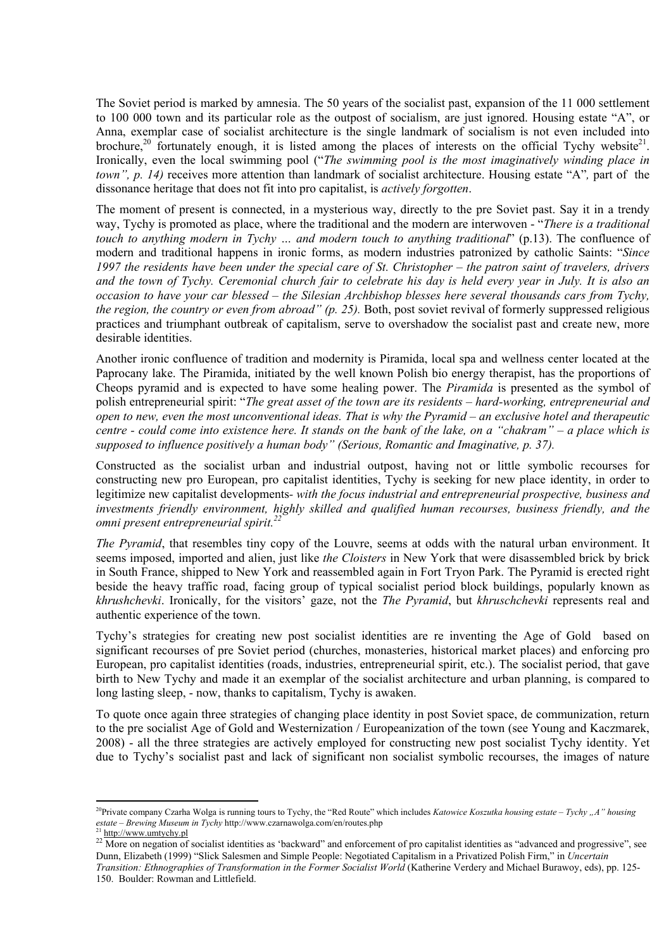The Soviet period is marked by amnesia. The 50 years of the socialist past, expansion of the 11 000 settlement to 100 000 town and its particular role as the outpost of socialism, are just ignored. Housing estate "A", or Anna, exemplar case of socialist architecture is the single landmark of socialism is not even included into brochure,<sup>20</sup> fortunately enough, it is listed among the places of interests on the official Tychy website<sup>21</sup>. Ironically, even the local swimming pool ("*The swimming pool is the most imaginatively winding place in town", p. 14)* receives more attention than landmark of socialist architecture. Housing estate "A"*,* part of the dissonance heritage that does not fit into pro capitalist, is *actively forgotten*.

The moment of present is connected, in a mysterious way, directly to the pre Soviet past. Say it in a trendy way, Tychy is promoted as place, where the traditional and the modern are interwoven - "*There is a traditional touch to anything modern in Tychy … and modern touch to anything traditional*" (p.13). The confluence of modern and traditional happens in ironic forms, as modern industries patronized by catholic Saints: "*Since 1997 the residents have been under the special care of St. Christopher – the patron saint of travelers, drivers and the town of Tychy. Ceremonial church fair to celebrate his day is held every year in July. It is also an occasion to have your car blessed – the Silesian Archbishop blesses here several thousands cars from Tychy, the region, the country or even from abroad" (p. 25).* Both, post soviet revival of formerly suppressed religious practices and triumphant outbreak of capitalism, serve to overshadow the socialist past and create new, more desirable identities.

Another ironic confluence of tradition and modernity is Piramida, local spa and wellness center located at the Paprocany lake. The Piramida, initiated by the well known Polish bio energy therapist, has the proportions of Cheops pyramid and is expected to have some healing power. The *Piramida* is presented as the symbol of polish entrepreneurial spirit: "*The great asset of the town are its residents – hard-working, entrepreneurial and open to new, even the most unconventional ideas. That is why the Pyramid – an exclusive hotel and therapeutic centre - could come into existence here. It stands on the bank of the lake, on a "chakram" – a place which is supposed to influence positively a human body" (Serious, Romantic and Imaginative, p. 37).* 

Constructed as the socialist urban and industrial outpost, having not or little symbolic recourses for constructing new pro European, pro capitalist identities, Tychy is seeking for new place identity, in order to legitimize new capitalist developments*- with the focus industrial and entrepreneurial prospective, business and investments friendly environment, highly skilled and qualified human recourses, business friendly, and the omni present entrepreneurial spirit.22* 

*The Pyramid*, that resembles tiny copy of the Louvre, seems at odds with the natural urban environment. It seems imposed, imported and alien, just like *the Cloisters* in New York that were disassembled brick by brick in South France, shipped to New York and reassembled again in Fort Tryon Park. The Pyramid is erected right beside the heavy traffic road, facing group of typical socialist period block buildings, popularly known as *khrushchevki*. Ironically, for the visitors' gaze, not the *The Pyramid*, but *khruschchevki* represents real and authentic experience of the town.

Tychy's strategies for creating new post socialist identities are re inventing the Age of Gold based on significant recourses of pre Soviet period (churches, monasteries, historical market places) and enforcing pro European, pro capitalist identities (roads, industries, entrepreneurial spirit, etc.). The socialist period, that gave birth to New Tychy and made it an exemplar of the socialist architecture and urban planning, is compared to long lasting sleep, - now, thanks to capitalism, Tychy is awaken.

To quote once again three strategies of changing place identity in post Soviet space, de communization, return to the pre socialist Age of Gold and Westernization / Europeanization of the town (see Young and Kaczmarek, 2008) - all the three strategies are actively employed for constructing new post socialist Tychy identity. Yet due to Tychy's socialist past and lack of significant non socialist symbolic recourses, the images of nature

<sup>&</sup>lt;sup>20</sup>Private company Czarha Wolga is running tours to Tychy, the "Red Route" which includes *Katowice Koszutka housing estate – Tychy* "A" housing *estate – Brewing Museum in Tychy* http://www.czarnawolga.com/en/routes.php

<sup>&</sup>lt;sup>21</sup> http://www.umtychy.pl

<sup>&</sup>lt;sup>22</sup> More on negation of socialist identities as 'backward' and enforcement of pro capitalist identities as "advanced and progressive", see Dunn, Elizabeth (1999) "Slick Salesmen and Simple People: Negotiated Capitalism in a Privatized Polish Firm," in *Uncertain Transition: Ethnographies of Transformation in the Former Socialist World* (Katherine Verdery and Michael Burawoy, eds), pp. 125-

<sup>150.</sup> Boulder: Rowman and Littlefield.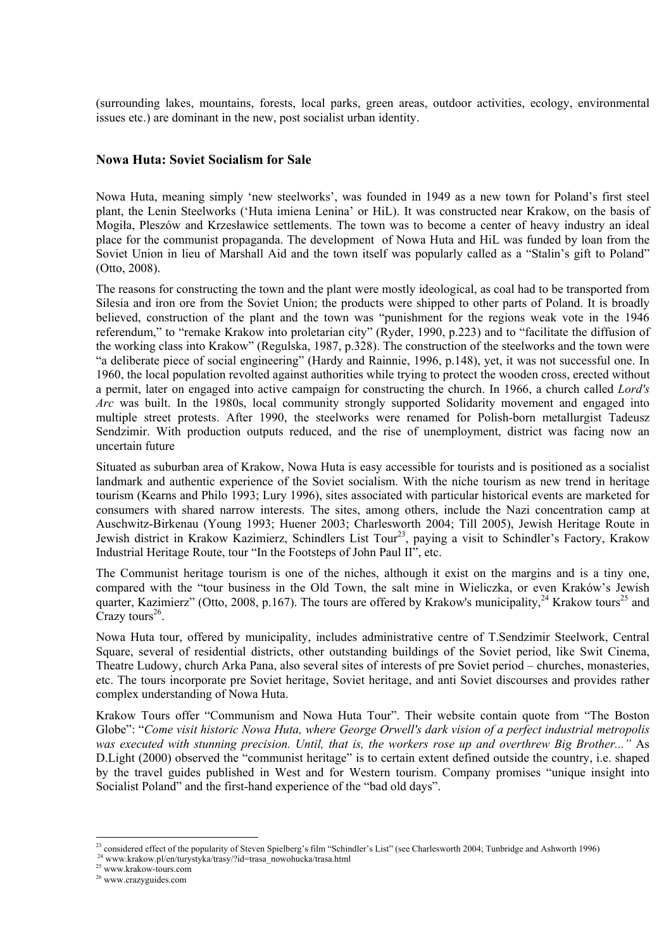(surrounding lakes, mountains, forests, local parks, green areas, outdoor activities, ecology, environmental issues etc.) are dominant in the new, post socialist urban identity.

## **Nowa Huta: Soviet Socialism for Sale**

Nowa Huta, meaning simply 'new steelworks', was founded in 1949 as a new town for Poland's first steel plant, the Lenin Steelworks ('Huta imiena Lenina' or HiL). It was constructed near Krakow, on the basis of Mogiła, Pleszów and Krzesławice settlements. The town was to become a center of heavy industry an ideal place for the communist propaganda. The development of Nowa Huta and HiL was funded by loan from the Soviet Union in lieu of Marshall Aid and the town itself was popularly called as a "Stalin's gift to Poland" (Otto, 2008).

The reasons for constructing the town and the plant were mostly ideological, as coal had to be transported from Silesia and iron ore from the Soviet Union; the products were shipped to other parts of Poland. It is broadly believed, construction of the plant and the town was "punishment for the regions weak vote in the 1946 referendum," to "remake Krakow into proletarian city" (Ryder, 1990, p.223) and to "facilitate the diffusion of the working class into Krakow" (Regulska, 1987, p.328). The construction of the steelworks and the town were "a deliberate piece of social engineering" (Hardy and Rainnie, 1996, p.148), yet, it was not successful one. In 1960, the local population revolted against authorities while trying to protect the wooden cross, erected without a permit, later on engaged into active campaign for constructing the church. In 1966, a church called *Lord's Arc* was built. In the 1980s, local community strongly supported Solidarity movement and engaged into multiple street protests. After 1990, the steelworks were renamed for Polish-born metallurgist Tadeusz Sendzimir. With production outputs reduced, and the rise of unemployment, district was facing now an uncertain future

Situated as suburban area of Krakow, Nowa Huta is easy accessible for tourists and is positioned as a socialist landmark and authentic experience of the Soviet socialism. With the niche tourism as new trend in heritage tourism (Kearns and Philo 1993; Lury 1996), sites associated with particular historical events are marketed for consumers with shared narrow interests. The sites, among others, include the Nazi concentration camp at Auschwitz-Birkenau (Young 1993; Huener 2003; Charlesworth 2004; Till 2005), Jewish Heritage Route in Jewish district in Krakow Kazimierz, Schindlers List Tour<sup>23</sup>, paying a visit to Schindler's Factory, Krakow Industrial Heritage Route, tour "In the Footsteps of John Paul II", etc.

The Communist heritage tourism is one of the niches, although it exist on the margins and is a tiny one, compared with the "tour business in the Old Town, the salt mine in Wieliczka, or even Kraków's Jewish quarter, Kazimierz" (Otto, 2008, p.167). The tours are offered by Krakow's municipality,  $24$  Krakow tours<sup>25</sup> and  $C$ razy tours<sup>26</sup>.

Nowa Huta tour, offered by municipality, includes administrative centre of T.Sendzimir Steelwork, Central Square, several of residential districts, other outstanding buildings of the Soviet period, like Swit Cinema, Theatre Ludowy, church Arka Pana, also several sites of interests of pre Soviet period – churches, monasteries, etc. The tours incorporate pre Soviet heritage, Soviet heritage, and anti Soviet discourses and provides rather complex understanding of Nowa Huta.

Krakow Tours offer "Communism and Nowa Huta Tour". Their website contain quote from "The Boston Globe": "*Come visit historic Nowa Huta, where George Orwell's dark vision of a perfect industrial metropolis was executed with stunning precision. Until, that is, the workers rose up and overthrew Big Brother..."* As D.Light (2000) observed the "communist heritage" is to certain extent defined outside the country, i.e. shaped by the travel guides published in West and for Western tourism. Company promises "unique insight into Socialist Poland" and the first-hand experience of the "bad old days".

 $\overline{a}$ <sup>23</sup> considered effect of the popularity of Steven Spielberg's film "Schindler's List" (see Charlesworth 2004; Tunbridge and Ashworth 1996)<br><sup>24</sup> www.krakow.pl/en/turystyka/trasy/?id=trasa\_nowohucka/trasa.html<br><sup>25</sup> www.kra

<sup>26</sup> www.crazyguides.com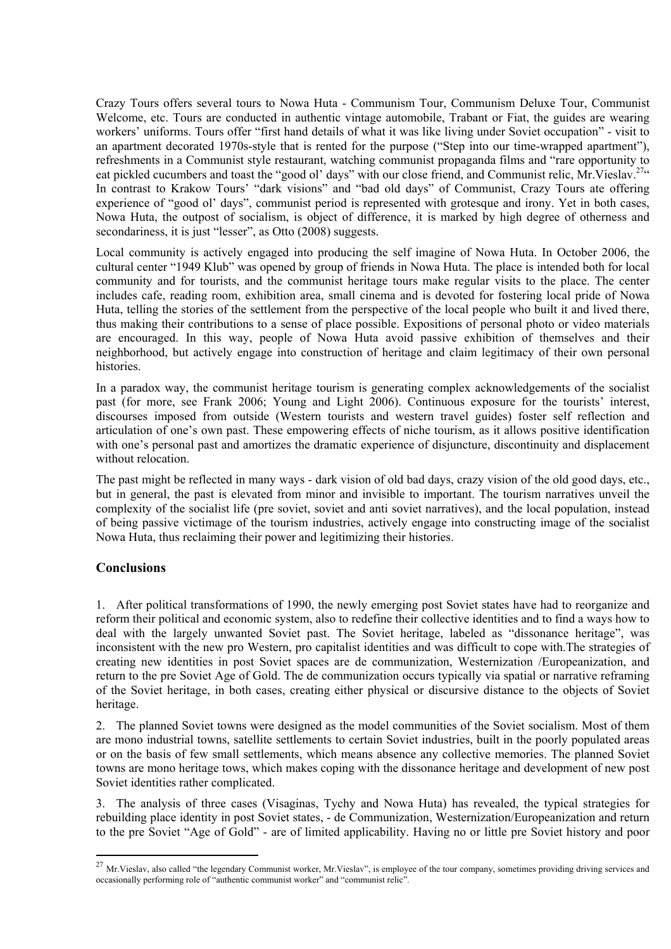Crazy Tours offers several tours to Nowa Huta - Communism Tour, Communism Deluxe Tour, Communist Welcome, etc. Tours are conducted in authentic vintage automobile, Trabant or Fiat, the guides are wearing workers' uniforms. Tours offer "first hand details of what it was like living under Soviet occupation" - visit to an apartment decorated 1970s-style that is rented for the purpose ("Step into our time-wrapped apartment"), refreshments in a Communist style restaurant, watching communist propaganda films and "rare opportunity to eat pickled cucumbers and toast the "good ol' days" with our close friend, and Communist relic, Mr. Vieslav.<sup>27</sup>" In contrast to Krakow Tours' "dark visions" and "bad old days" of Communist, Crazy Tours ate offering experience of "good ol' days", communist period is represented with grotesque and irony. Yet in both cases, Nowa Huta, the outpost of socialism, is object of difference, it is marked by high degree of otherness and secondariness, it is just "lesser", as Otto (2008) suggests.

Local community is actively engaged into producing the self imagine of Nowa Huta. In October 2006, the cultural center "1949 Klub" was opened by group of friends in Nowa Huta. The place is intended both for local community and for tourists, and the communist heritage tours make regular visits to the place. The center includes cafe, reading room, exhibition area, small cinema and is devoted for fostering local pride of Nowa Huta, telling the stories of the settlement from the perspective of the local people who built it and lived there, thus making their contributions to a sense of place possible. Expositions of personal photo or video materials are encouraged. In this way, people of Nowa Huta avoid passive exhibition of themselves and their neighborhood, but actively engage into construction of heritage and claim legitimacy of their own personal histories.

In a paradox way, the communist heritage tourism is generating complex acknowledgements of the socialist past (for more, see Frank 2006; Young and Light 2006). Continuous exposure for the tourists' interest, discourses imposed from outside (Western tourists and western travel guides) foster self reflection and articulation of one's own past. These empowering effects of niche tourism, as it allows positive identification with one's personal past and amortizes the dramatic experience of disjuncture, discontinuity and displacement without relocation.

The past might be reflected in many ways - dark vision of old bad days, crazy vision of the old good days, etc., but in general, the past is elevated from minor and invisible to important. The tourism narratives unveil the complexity of the socialist life (pre soviet, soviet and anti soviet narratives), and the local population, instead of being passive victimage of the tourism industries, actively engage into constructing image of the socialist Nowa Huta, thus reclaiming their power and legitimizing their histories.

## **Conclusions**

 $\overline{a}$ 

1. After political transformations of 1990, the newly emerging post Soviet states have had to reorganize and reform their political and economic system, also to redefine their collective identities and to find a ways how to deal with the largely unwanted Soviet past. The Soviet heritage, labeled as "dissonance heritage", was inconsistent with the new pro Western, pro capitalist identities and was difficult to cope with.The strategies of creating new identities in post Soviet spaces are de communization, Westernization /Europeanization, and return to the pre Soviet Age of Gold. The de communization occurs typically via spatial or narrative reframing of the Soviet heritage, in both cases, creating either physical or discursive distance to the objects of Soviet heritage.

2. The planned Soviet towns were designed as the model communities of the Soviet socialism. Most of them are mono industrial towns, satellite settlements to certain Soviet industries, built in the poorly populated areas or on the basis of few small settlements, which means absence any collective memories. The planned Soviet towns are mono heritage tows, which makes coping with the dissonance heritage and development of new post Soviet identities rather complicated.

3. The analysis of three cases (Visaginas, Tychy and Nowa Huta) has revealed, the typical strategies for rebuilding place identity in post Soviet states, - de Communization, Westernization/Europeanization and return to the pre Soviet "Age of Gold" - are of limited applicability. Having no or little pre Soviet history and poor

 $^{27}$  Mr. Vieslav, also called "the legendary Communist worker, Mr. Vieslav", is employee of the tour company, sometimes providing driving services and occasionally performing role of "authentic communist worker" and "communist relic".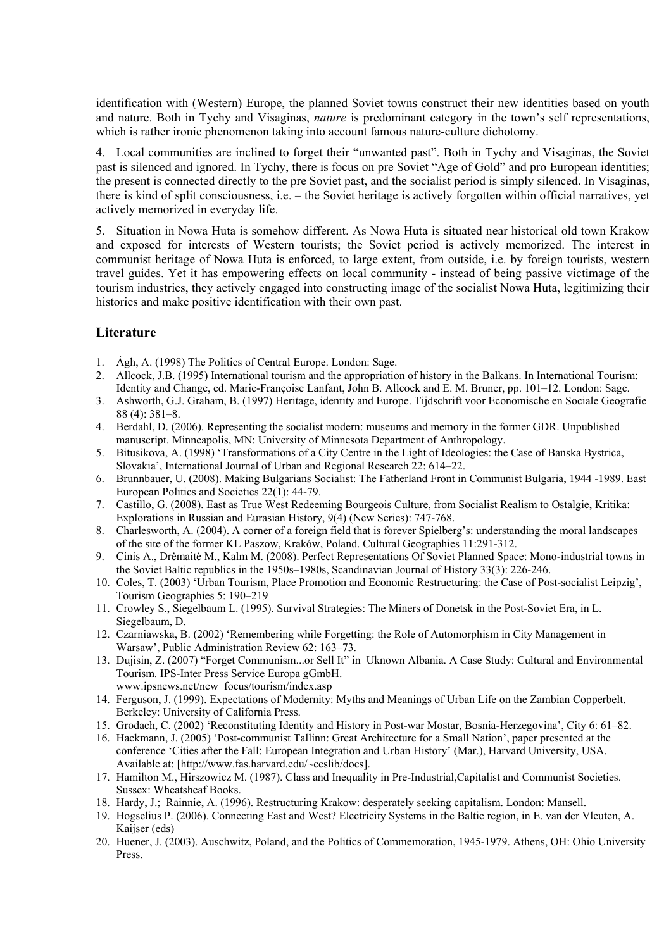identification with (Western) Europe, the planned Soviet towns construct their new identities based on youth and nature. Both in Tychy and Visaginas, *nature* is predominant category in the town's self representations, which is rather ironic phenomenon taking into account famous nature-culture dichotomy.

4. Local communities are inclined to forget their "unwanted past". Both in Tychy and Visaginas, the Soviet past is silenced and ignored. In Tychy, there is focus on pre Soviet "Age of Gold" and pro European identities; the present is connected directly to the pre Soviet past, and the socialist period is simply silenced. In Visaginas, there is kind of split consciousness, i.e. – the Soviet heritage is actively forgotten within official narratives, yet actively memorized in everyday life.

5. Situation in Nowa Huta is somehow different. As Nowa Huta is situated near historical old town Krakow and exposed for interests of Western tourists; the Soviet period is actively memorized. The interest in communist heritage of Nowa Huta is enforced, to large extent, from outside, i.e. by foreign tourists, western travel guides. Yet it has empowering effects on local community - instead of being passive victimage of the tourism industries, they actively engaged into constructing image of the socialist Nowa Huta, legitimizing their histories and make positive identification with their own past.

# **Literature**

- 1. Ágh, A. (1998) The Politics of Central Europe. London: Sage.
- 2. Allcock, J.B. (1995) International tourism and the appropriation of history in the Balkans. In International Tourism: Identity and Change, ed. Marie-Françoise Lanfant, John B. Allcock and E. M. Bruner, pp. 101–12. London: Sage.
- 3. Ashworth, G.J. Graham, B. (1997) Heritage, identity and Europe. Tijdschrift voor Economische en Sociale Geografie 88 (4): 381–8.
- 4. Berdahl, D. (2006). Representing the socialist modern: museums and memory in the former GDR. Unpublished manuscript. Minneapolis, MN: University of Minnesota Department of Anthropology.
- 5. Bitusikova, A. (1998) 'Transformations of a City Centre in the Light of Ideologies: the Case of Banska Bystrica, Slovakia', International Journal of Urban and Regional Research 22: 614–22.
- 6. Brunnbauer, U. (2008). Making Bulgarians Socialist: The Fatherland Front in Communist Bulgaria, 1944 -1989. East European Politics and Societies 22(1): 44-79.
- 7. Castillo, G. (2008). East as True West Redeeming Bourgeois Culture, from Socialist Realism to Ostalgie, Kritika: Explorations in Russian and Eurasian History, 9(4) (New Series): 747-768.
- 8. Charlesworth, A. (2004). A corner of a foreign field that is forever Spielberg's: understanding the moral landscapes of the site of the former KL Paszow, Kraków, Poland. Cultural Geographies 11:291-312.
- 9. Cinis A., Drėmaitė M., Kalm M. (2008). Perfect Representations Of Soviet Planned Space: Mono-industrial towns in the Soviet Baltic republics in the 1950s–1980s, Scandinavian Journal of History 33(3): 226-246.
- 10. Coles, T. (2003) 'Urban Tourism, Place Promotion and Economic Restructuring: the Case of Post-socialist Leipzig', Tourism Geographies 5: 190–219
- 11. Crowley S., Siegelbaum L. (1995). Survival Strategies: The Miners of Donetsk in the Post-Soviet Era, in L. Siegelbaum, D.
- 12. Czarniawska, B. (2002) 'Remembering while Forgetting: the Role of Automorphism in City Management in Warsaw', Public Administration Review 62: 163–73.
- 13. Dujisin, Z. (2007) "Forget Communism...or Sell It" in Uknown Albania. A Case Study: Cultural and Environmental Tourism. IPS-Inter Press Service Europa gGmbH. www.ipsnews.net/new\_focus/tourism/index.asp
- 14. Ferguson, J. (1999). Expectations of Modernity: Myths and Meanings of Urban Life on the Zambian Copperbelt. Berkeley: University of California Press.
- 15. Grodach, C. (2002) 'Reconstituting Identity and History in Post-war Mostar, Bosnia-Herzegovina', City 6: 61–82.
- 16. Hackmann, J. (2005) 'Post-communist Tallinn: Great Architecture for a Small Nation', paper presented at the conference 'Cities after the Fall: European Integration and Urban History' (Mar.), Harvard University, USA. Available at: [http://www.fas.harvard.edu/~ceslib/docs].
- 17. Hamilton M., Hirszowicz M. (1987). Class and Inequality in Pre-Industrial,Capitalist and Communist Societies. Sussex: Wheatsheaf Books.
- 18. Hardy, J.; Rainnie, A. (1996). Restructuring Krakow: desperately seeking capitalism. London: Mansell.
- 19. Hogselius P. (2006). Connecting East and West? Electricity Systems in the Baltic region, in E. van der Vleuten, A. Kaijser (eds)
- 20. Huener, J. (2003). Auschwitz, Poland, and the Politics of Commemoration, 1945-1979. Athens, OH: Ohio University Press.